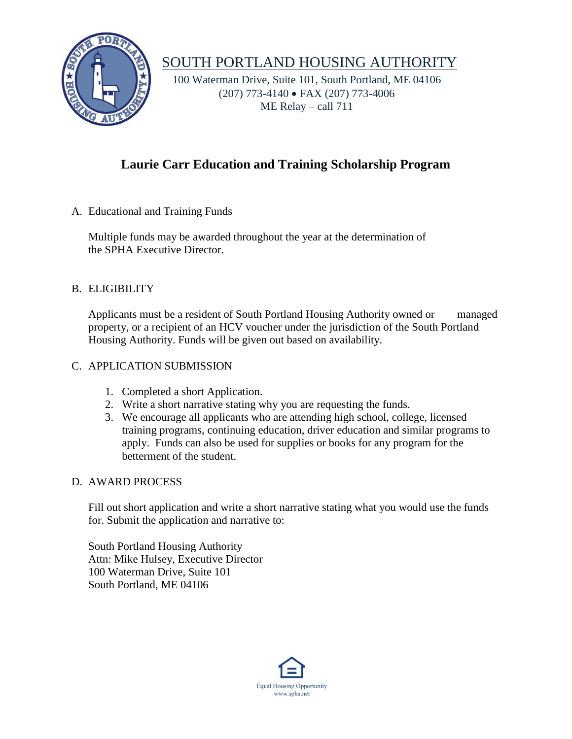

# SOUTH PORTLAND HOUSING AUTHORITY

 100 Waterman Drive, Suite 101, South Portland, ME 04106 (207) 773-4140 FAX (207) 773-4006 ME Relay – call 711

### **Laurie Carr Education and Training Scholarship Program**

A. Educational and Training Funds

Multiple funds may be awarded throughout the year at the determination of the SPHA Executive Director.

#### B. ELIGIBILITY

Applicants must be a resident of South Portland Housing Authority owned or managed property, or a recipient of an HCV voucher under the jurisdiction of the South Portland Housing Authority. Funds will be given out based on availability.

#### C. APPLICATION SUBMISSION

- 1. Completed a short Application.
- 2. Write a short narrative stating why you are requesting the funds.
- 3. We encourage all applicants who are attending high school, college, licensed training programs, continuing education, driver education and similar programs to apply. Funds can also be used for supplies or books for any program for the betterment of the student.

#### D. AWARD PROCESS

Fill out short application and write a short narrative stating what you would use the funds for. Submit the application and narrative to:

South Portland Housing Authority Attn: Mike Hulsey, Executive Director 100 Waterman Drive, Suite 101 South Portland, ME 04106

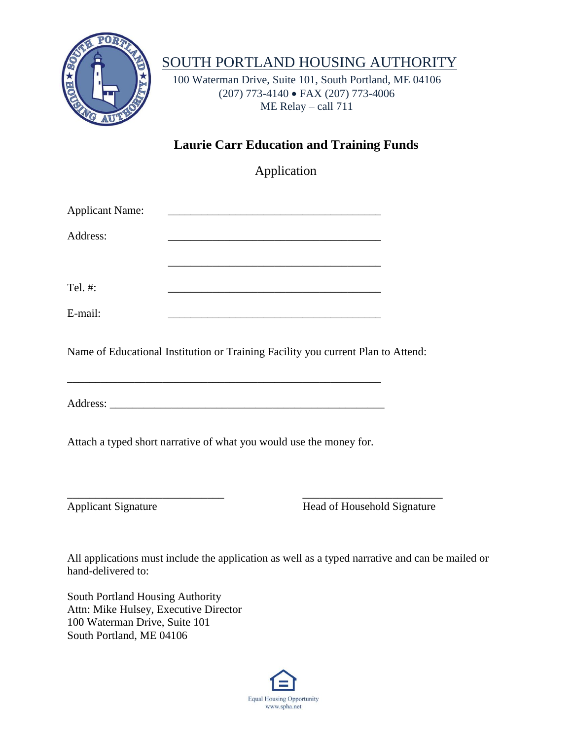

# SOUTH PORTLAND HOUSING AUTHORITY

 100 Waterman Drive, Suite 101, South Portland, ME 04106 (207) 773-4140 FAX (207) 773-4006 ME Relay – call 711

### **Laurie Carr Education and Training Funds**

Application

| <b>Applicant Name:</b> |  |
|------------------------|--|
| Address:               |  |
|                        |  |
|                        |  |
| Tel. #:                |  |
| E-mail:                |  |
|                        |  |

Name of Educational Institution or Training Facility you current Plan to Attend:

Address: \_\_\_\_\_\_\_\_\_\_\_\_\_\_\_\_\_\_\_\_\_\_\_\_\_\_\_\_\_\_\_\_\_\_\_\_\_\_\_\_\_\_\_\_\_\_\_\_\_

\_\_\_\_\_\_\_\_\_\_\_\_\_\_\_\_\_\_\_\_\_\_\_\_\_\_\_\_\_\_\_\_\_\_\_\_\_\_\_\_\_\_\_\_\_\_\_\_\_\_\_\_\_\_\_\_

Attach a typed short narrative of what you would use the money for.

\_\_\_\_\_\_\_\_\_\_\_\_\_\_\_\_\_\_\_\_\_\_\_\_\_\_\_\_ \_\_\_\_\_\_\_\_\_\_\_\_\_\_\_\_\_\_\_\_\_\_\_\_\_

Applicant Signature Head of Household Signature

All applications must include the application as well as a typed narrative and can be mailed or hand-delivered to:

South Portland Housing Authority Attn: Mike Hulsey, Executive Director 100 Waterman Drive, Suite 101 South Portland, ME 04106